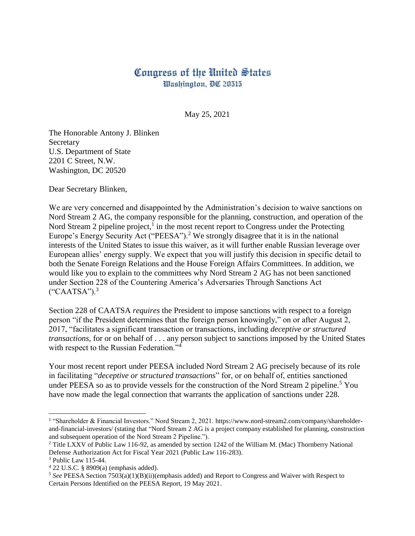## Congress of the United States Washington, DC 20515

May 25, 2021

The Honorable Antony J. Blinken **Secretary** U.S. Department of State 2201 C Street, N.W. Washington, DC 20520

Dear Secretary Blinken,

We are very concerned and disappointed by the Administration's decision to waive sanctions on Nord Stream 2 AG, the company responsible for the planning, construction, and operation of the Nord Stream 2 pipeline project, $<sup>1</sup>$  in the most recent report to Congress under the Protecting</sup> Europe's Energy Security Act ("PEESA").<sup>2</sup> We strongly disagree that it is in the national interests of the United States to issue this waiver, as it will further enable Russian leverage over European allies' energy supply. We expect that you will justify this decision in specific detail to both the Senate Foreign Relations and the House Foreign Affairs Committees. In addition, we would like you to explain to the committees why Nord Stream 2 AG has not been sanctioned under Section 228 of the Countering America's Adversaries Through Sanctions Act  $("CAATSA")$ .<sup>3</sup>

Section 228 of CAATSA *requires* the President to impose sanctions with respect to a foreign person "if the President determines that the foreign person knowingly," on or after August 2, 2017, "facilitates a significant transaction or transactions, including *deceptive or structured transactions*, for or on behalf of . . . any person subject to sanctions imposed by the United States with respect to the Russian Federation."<sup>4</sup>

Your most recent report under PEESA included Nord Stream 2 AG precisely because of its role in facilitating "*deceptive or structured transactions*" for, or on behalf of, entities sanctioned under PEESA so as to provide vessels for the construction of the Nord Stream 2 pipeline.<sup>5</sup> You have now made the legal connection that warrants the application of sanctions under 228.

 $\overline{\phantom{a}}$ 

<sup>1</sup> "Shareholder & Financial Investors." Nord Stream 2, 2021. https://www.nord-stream2.com/company/shareholderand-financial-investors/ (stating that "Nord Stream 2 AG is a project company established for planning, construction and subsequent operation of the Nord Stream 2 Pipeline.").

<sup>&</sup>lt;sup>2</sup> Title LXXV of Public Law 116-92, as amended by section 1242 of the William M. (Mac) Thornberry National Defense Authorization Act for Fiscal Year 2021 (Public Law 116-283).

<sup>3</sup> Public Law 115-44.

<sup>4</sup> 22 U.S.C. § 8909(a) (emphasis added).

<sup>5</sup> *See* PEESA Section 7503(a)(1)(B)(ii)(emphasis added) and Report to Congress and Waiver with Respect to Certain Persons Identified on the PEESA Report, 19 May 2021.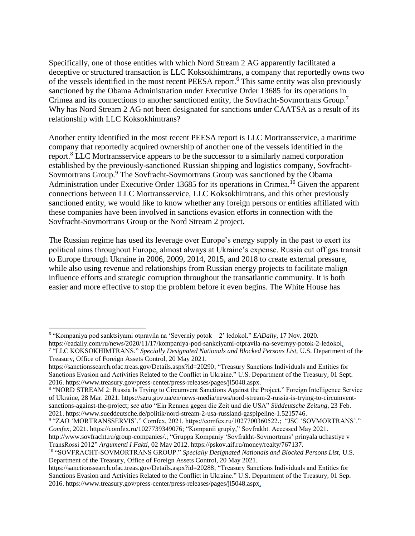Specifically, one of those entities with which Nord Stream 2 AG apparently facilitated a deceptive or structured transaction is LLC Koksokhimtrans, a company that reportedly owns two of the vessels identified in the most recent PEESA report.<sup>6</sup> This same entity was also previously sanctioned by the Obama Administration under Executive Order 13685 for its operations in Crimea and its connections to another sanctioned entity, the Sovfracht-Sovmortrans Group.<sup>7</sup> Why has Nord Stream 2 AG not been designated for sanctions under CAATSA as a result of its relationship with LLC Koksokhimtrans?

Another entity identified in the most recent PEESA report is LLC Mortransservice, a maritime company that reportedly acquired ownership of another one of the vessels identified in the report.<sup>8</sup> LLC Mortransservice appears to be the successor to a similarly named corporation established by the previously-sanctioned Russian shipping and logistics company, Sovfracht-Sovmortrans Group.<sup>9</sup> The Sovfracht-Sovmortrans Group was sanctioned by the Obama Administration under Executive Order 13685 for its operations in Crimea.<sup>10</sup> Given the apparent connections between LLC Mortransservice, LLC Koksokhimtrans, and this other previously sanctioned entity, we would like to know whether any foreign persons or entities affiliated with these companies have been involved in sanctions evasion efforts in connection with the Sovfracht-Sovmortrans Group or the Nord Stream 2 project.

The Russian regime has used its leverage over Europe's energy supply in the past to exert its political aims throughout Europe, almost always at Ukraine's expense. Russia cut off gas transit to Europe through Ukraine in 2006, 2009, 2014, 2015, and 2018 to create external pressure, while also using revenue and relationships from Russian energy projects to facilitate malign influence efforts and strategic corruption throughout the transatlantic community. It is both easier and more effective to stop the problem before it even begins. The White House has

 $\overline{a}$ 

<sup>6</sup> "Kompaniya pod sanktsiyami otpravila na 'Severniy potok – 2' ledokol." *EADaily*, 17 Nov. 2020.

https://eadaily.com/ru/news/2020/11/17/kompaniya-pod-sankciyami-otpravila-na-severnyy-potok-2-ledokol. 7 "LLC KOKSOKHIMTRANS." *Specially Designated Nationals and Blocked Persons List,* U.S. Department of the Treasury, Office of Foreign Assets Control, 20 May 2021.

https://sanctionssearch.ofac.treas.gov/Details.aspx?id=20290; "Treasury Sanctions Individuals and Entities for Sanctions Evasion and Activities Related to the Conflict in Ukraine." U.S. Department of the Treasury*,* 01 Sept. 2016. https://www.treasury.gov/press-center/press-releases/pages/jl5048.aspx.

<sup>8</sup> "NORD STREAM 2: Russia Is Trying to Circumvent Sanctions Against the Project." Foreign Intelligence Service of Ukraine*,* 28 Mar. 2021. https://szru.gov.ua/en/news-media/news/nord-stream-2-russia-is-trying-to-circumventsanctions-against-the-project; *see also* "Ein Rennen gegen die Zeit und die USA" *Süddeutsche Zeitung*, 23 Feb. 2021. https://www.sueddeutsche.de/politik/nord-stream-2-usa-russland-gaspipeline-1.5215746.

<sup>9</sup> "ZAO 'MORTRANSSERVIS'." Comfex, 2021. https://comfex.ru/1027700360522.; "JSC 'SOVMORTRANS'." *Comfex*, 2021. https://comfex.ru/1027739349076; "Kompanii grupiy," Sovfrakht. Accessed May 2021.

http://www.sovfracht.ru/group-companies/.; "Gruppa Kompaniy 'Sovfrakht-Sovmortrans' prinyala uchastiye v TransRossi 2012" *Argumenti I Fakti*, 02 May 2012. https://pskov.aif.ru/money/realty/767137.

<sup>10</sup> "SOVFRACHT-SOVMORTRANS GROUP." *Specially Designated Nationals and Blocked Persons List,* U.S. Department of the Treasury, Office of Foreign Assets Control, 20 May 2021.

https://sanctionssearch.ofac.treas.gov/Details.aspx?id=20288; "Treasury Sanctions Individuals and Entities for Sanctions Evasion and Activities Related to the Conflict in Ukraine." U.S. Department of the Treasury*,* 01 Sep. 2016. https://www.treasury.gov/press-center/press-releases/pages/jl5048.aspx.